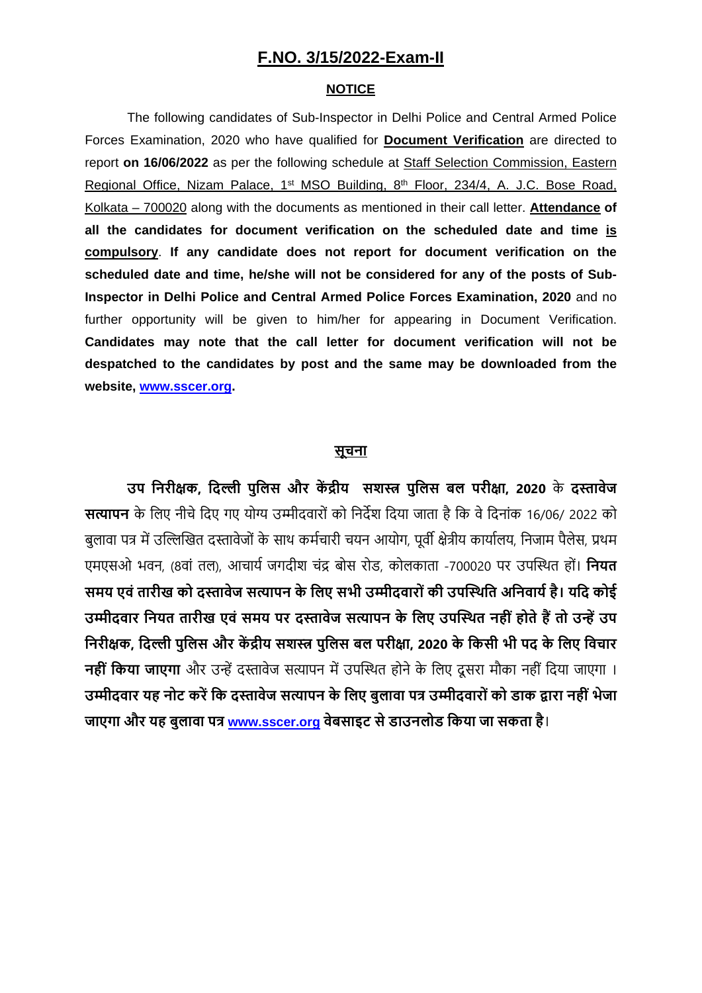## **F.NO. 3/15/2022-Exam-II**

### **NOTICE**

The following candidates of Sub-Inspector in Delhi Police and Central Armed Police Forces Examination, 2020 who have qualified for **Document Verification** are directed to report **on 16/06/2022** as per the following schedule at Staff Selection Commission, Eastern Regional Office, Nizam Palace, 1st MSO Building, 8th Floor, 234/4, A. J.C. Bose Road, Kolkata – 700020 along with the documents as mentioned in their call letter. **Attendance of all the candidates for document verification on the scheduled date and time is compulsory**. **If any candidate does not report for document verification on the scheduled date and time, he/she will not be considered for any of the posts of Sub-Inspector in Delhi Police and Central Armed Police Forces Examination, 2020** and no further opportunity will be given to him/her for appearing in Document Verification. **Candidates may note that the call letter for document verification will not be despatched to the candidates by post and the same may be downloaded from the website, [www.sscer.org.](http://www.sscer.org/)**

#### **सूचना**

**उप िनरी�क, िद�ी पुिलस और क� द्रीय सश� पुिलस बल परी�ा, 2020** के **द�ावेज स�ापन** के िलए नीचे िदए गए यो� उ�ीदवारों को िनद�श िदया जाता है िक वे िदनांक 16/06/ 2022 को बुलावा पत्र में उल्लिखित दस्तावेजों के साथ कर्मचारी चयन आयोग, पूर्वी क्षेत्रीय कार्यालय, निजाम पैलेस, प्रथम एमएसओ भवन, (8वां तल), आचाय� जगदीश चंद्र बोस रोड, कोलकाता -700020 पर उप�स्थत हों। **िनयत समय एवं तारीख को द�ावेज स�ापन के िलए सभी उ�ीदवारों की उप�स्थित अिनवाय� है। यिद कोई**  उम्मीदवार नियत तारीख एवं समय पर दस्तावेज सत्यापन के लिए उपस्थित नहीं होते हैं तो उन्हें उप **िनरी�क, िद�ी पुिलस और क� द्रीय सश� पुिलस बल परी�ा, 2020 के िकसी भी पद के िलए िवचार नहीं किया जाएगा** और उन्हें दस्तावेज सत्यापन में उपस्थित होने के लिए दूसरा मौका नहीं दिया जाएगा । उम्मीदवार यह नोट करें कि दस्तावेज सत्यापन के लिए बलावा पत्र उम्मीदवारों को डाक द्वारा नहीं भेजा **जाएगा और यह बुलावा पत्र www.sscer.org वेबसाइट से डाउनलोड िकया जा सकता है**।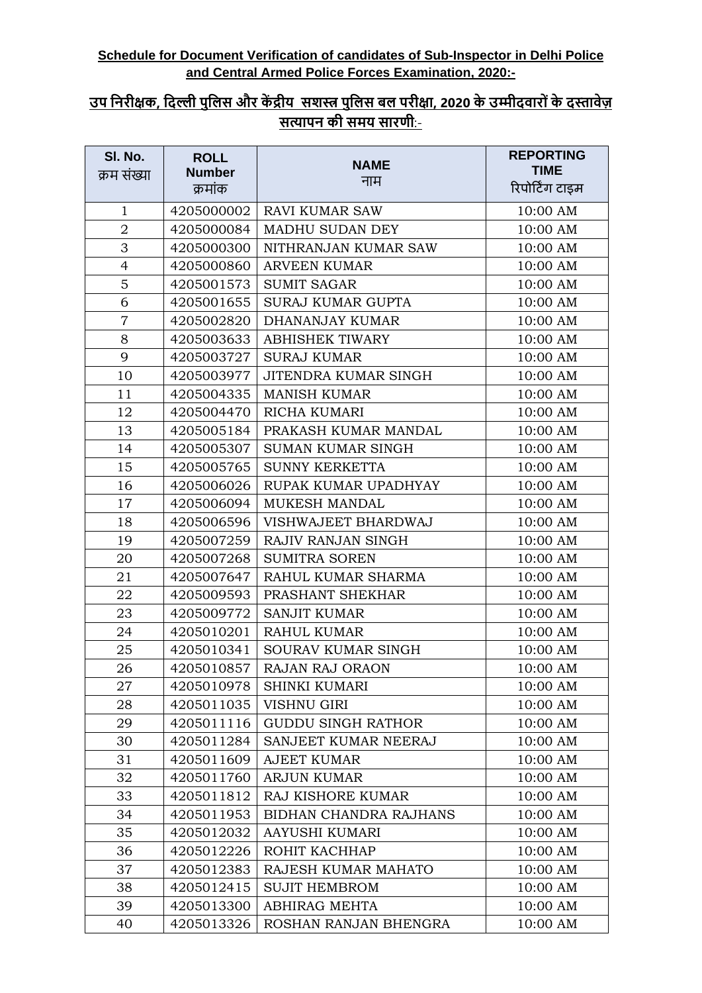## **Schedule for Document Verification of candidates of Sub-Inspector in Delhi Police and Central Armed Police Forces Examination, 2020:-**

# <u>उप निरीक्षक, दिल्ली पुलिस और केंद्रीय सशस्त्र पुलिस बल परीक्षा, 2020 के उम्मीदवारों के दस्तावेज़</u> **स�ापन की समय सारणी**:-

| SI. No.<br>क्रम संख्या | <b>ROLL</b><br><b>Number</b><br>क्रमांक | <b>NAME</b><br>नाम        | <b>REPORTING</b><br><b>TIME</b><br>रिपोर्टिंग टाइम |
|------------------------|-----------------------------------------|---------------------------|----------------------------------------------------|
| $\mathbf{1}$           | 4205000002                              | <b>RAVI KUMAR SAW</b>     | 10:00 AM                                           |
| $\overline{2}$         | 4205000084                              | MADHU SUDAN DEY           | 10:00 AM                                           |
| 3                      | 4205000300                              | NITHRANJAN KUMAR SAW      | 10:00 AM                                           |
| 4                      | 4205000860                              | <b>ARVEEN KUMAR</b>       | 10:00 AM                                           |
| 5                      | 4205001573                              | <b>SUMIT SAGAR</b>        | 10:00 AM                                           |
| 6                      | 4205001655                              | SURAJ KUMAR GUPTA         | 10:00 AM                                           |
| $\overline{7}$         | 4205002820                              | <b>DHANANJAY KUMAR</b>    | 10:00 AM                                           |
| 8                      | 4205003633                              | <b>ABHISHEK TIWARY</b>    | 10:00 AM                                           |
| 9                      | 4205003727                              | <b>SURAJ KUMAR</b>        | 10:00 AM                                           |
| 10                     | 4205003977                              | JITENDRA KUMAR SINGH      | 10:00 AM                                           |
| 11                     | 4205004335                              | <b>MANISH KUMAR</b>       | 10:00 AM                                           |
| 12                     | 4205004470                              | RICHA KUMARI              | 10:00 AM                                           |
| 13                     | 4205005184                              | PRAKASH KUMAR MANDAL      | 10:00 AM                                           |
| 14                     | 4205005307                              | <b>SUMAN KUMAR SINGH</b>  | 10:00 AM                                           |
| 15                     | 4205005765                              | SUNNY KERKETTA            | 10:00 AM                                           |
| 16                     | 4205006026                              | RUPAK KUMAR UPADHYAY      | 10:00 AM                                           |
| 17                     | 4205006094                              | MUKESH MANDAL             | 10:00 AM                                           |
| 18                     | 4205006596                              | VISHWAJEET BHARDWAJ       | 10:00 AM                                           |
| 19                     | 4205007259                              | RAJIV RANJAN SINGH        | 10:00 AM                                           |
| 20                     | 4205007268                              | <b>SUMITRA SOREN</b>      | 10:00 AM                                           |
| 21                     | 4205007647                              | RAHUL KUMAR SHARMA        | 10:00 AM                                           |
| 22                     | 4205009593                              | PRASHANT SHEKHAR          | 10:00 AM                                           |
| 23                     | 4205009772                              | <b>SANJIT KUMAR</b>       | 10:00 AM                                           |
| 24                     | 4205010201                              | <b>RAHUL KUMAR</b>        | 10:00 AM                                           |
| 25                     | 4205010341                              | <b>SOURAV KUMAR SINGH</b> | 10:00 AM                                           |
| 26                     | 4205010857                              | <b>RAJAN RAJ ORAON</b>    | 10:00 AM                                           |
| 27                     | 4205010978                              | <b>SHINKI KUMARI</b>      | 10:00 AM                                           |
| 28                     | 4205011035                              | VISHNU GIRI               | 10:00 AM                                           |
| 29                     | 4205011116                              | <b>GUDDU SINGH RATHOR</b> | 10:00 AM                                           |
| 30                     | 4205011284                              | SANJEET KUMAR NEERAJ      | 10:00 AM                                           |
| 31                     | 4205011609                              | <b>AJEET KUMAR</b>        | 10:00 AM                                           |
| 32                     | 4205011760                              | <b>ARJUN KUMAR</b>        | 10:00 AM                                           |
| 33                     | 4205011812                              | RAJ KISHORE KUMAR         | 10:00 AM                                           |
| 34                     | 4205011953                              | BIDHAN CHANDRA RAJHANS    | 10:00 AM                                           |
| 35                     | 4205012032                              | AAYUSHI KUMARI            | 10:00 AM                                           |
| 36                     | 4205012226                              | ROHIT KACHHAP             | 10:00 AM                                           |
| 37                     | 4205012383                              | RAJESH KUMAR MAHATO       | 10:00 AM                                           |
| 38                     | 4205012415                              | <b>SUJIT HEMBROM</b>      | 10:00 AM                                           |
| 39                     | 4205013300                              | ABHIRAG MEHTA             | 10:00 AM                                           |
| 40                     | 4205013326                              | ROSHAN RANJAN BHENGRA     | 10:00 AM                                           |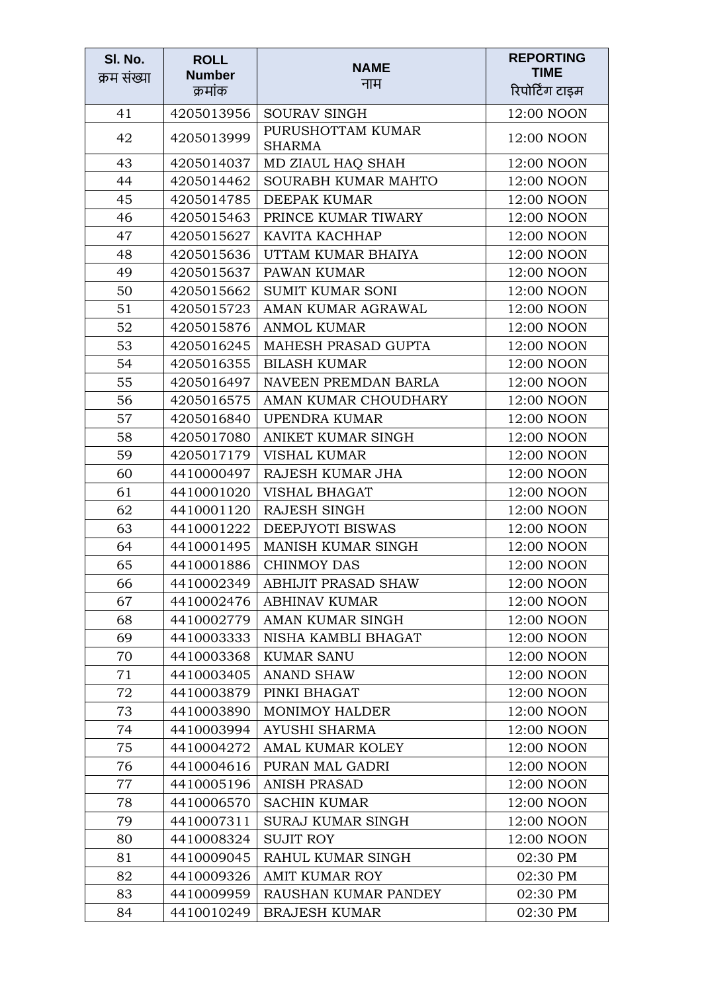| SI. No.<br>क्रम संख्या | <b>ROLL</b><br><b>Number</b> | <b>NAME</b><br>नाम                 | <b>REPORTING</b><br><b>TIME</b> |
|------------------------|------------------------------|------------------------------------|---------------------------------|
|                        | क्रमांक                      |                                    | रिपोर्टिंग टाइम                 |
| 41                     | 4205013956                   | <b>SOURAV SINGH</b>                | 12:00 NOON                      |
| 42                     | 4205013999                   | PURUSHOTTAM KUMAR<br><b>SHARMA</b> | 12:00 NOON                      |
| 43                     | 4205014037                   | MD ZIAUL HAQ SHAH                  | 12:00 NOON                      |
| 44                     | 4205014462                   | SOURABH KUMAR MAHTO                | 12:00 NOON                      |
| 45                     | 4205014785                   | <b>DEEPAK KUMAR</b>                | 12:00 NOON                      |
| 46                     | 4205015463                   | PRINCE KUMAR TIWARY                | 12:00 NOON                      |
| 47                     | 4205015627                   | KAVITA KACHHAP                     | 12:00 NOON                      |
| 48                     | 4205015636                   | UTTAM KUMAR BHAIYA                 | 12:00 NOON                      |
| 49                     | 4205015637                   | PAWAN KUMAR                        | 12:00 NOON                      |
| 50                     | 4205015662                   | <b>SUMIT KUMAR SONI</b>            | 12:00 NOON                      |
| 51                     | 4205015723                   | AMAN KUMAR AGRAWAL                 | 12:00 NOON                      |
| 52                     | 4205015876                   | <b>ANMOL KUMAR</b>                 | 12:00 NOON                      |
| 53                     | 4205016245                   | MAHESH PRASAD GUPTA                | 12:00 NOON                      |
| 54                     | 4205016355                   | <b>BILASH KUMAR</b>                | 12:00 NOON                      |
| 55                     | 4205016497                   | NAVEEN PREMDAN BARLA               | 12:00 NOON                      |
| 56                     | 4205016575                   | AMAN KUMAR CHOUDHARY               | 12:00 NOON                      |
| 57                     | 4205016840                   | <b>UPENDRA KUMAR</b>               | 12:00 NOON                      |
| 58                     | 4205017080                   | ANIKET KUMAR SINGH                 | 12:00 NOON                      |
| 59                     | 4205017179                   | <b>VISHAL KUMAR</b>                | 12:00 NOON                      |
| 60                     | 4410000497                   | RAJESH KUMAR JHA                   | 12:00 NOON                      |
| 61                     | 4410001020                   | <b>VISHAL BHAGAT</b>               | 12:00 NOON                      |
| 62                     | 4410001120                   | <b>RAJESH SINGH</b>                | 12:00 NOON                      |
| 63                     | 4410001222                   | DEEPJYOTI BISWAS                   | 12:00 NOON                      |
| 64                     | 4410001495                   | MANISH KUMAR SINGH                 | 12:00 NOON                      |
| 65                     | 4410001886                   | <b>CHINMOY DAS</b>                 | 12:00 NOON                      |
| 66                     | 4410002349                   | ABHIJIT PRASAD SHAW                | 12:00 NOON                      |
| 67                     | 4410002476                   | <b>ABHINAV KUMAR</b>               | 12:00 NOON                      |
| 68                     | 4410002779                   | AMAN KUMAR SINGH                   | 12:00 NOON                      |
| 69                     | 4410003333                   | NISHA KAMBLI BHAGAT                | 12:00 NOON                      |
| 70                     | 4410003368                   | <b>KUMAR SANU</b>                  | 12:00 NOON                      |
| 71                     | 4410003405                   | <b>ANAND SHAW</b>                  | 12:00 NOON                      |
| 72                     | 4410003879                   | PINKI BHAGAT                       | 12:00 NOON                      |
| 73                     | 4410003890                   | <b>MONIMOY HALDER</b>              | 12:00 NOON                      |
| 74                     | 4410003994                   | <b>AYUSHI SHARMA</b>               | 12:00 NOON                      |
| 75                     | 4410004272                   | AMAL KUMAR KOLEY                   | 12:00 NOON                      |
| 76                     | 4410004616                   | PURAN MAL GADRI                    | 12:00 NOON                      |
| 77                     | 4410005196                   | <b>ANISH PRASAD</b>                | 12:00 NOON                      |
| 78                     | 4410006570                   | <b>SACHIN KUMAR</b>                | 12:00 NOON                      |
| 79                     | 4410007311                   | <b>SURAJ KUMAR SINGH</b>           | 12:00 NOON                      |
| 80                     | 4410008324                   | <b>SUJIT ROY</b>                   | 12:00 NOON                      |
| 81                     | 4410009045                   | RAHUL KUMAR SINGH                  | 02:30 PM                        |
| 82                     | 4410009326                   | <b>AMIT KUMAR ROY</b>              | 02:30 PM                        |
| 83                     | 4410009959                   | RAUSHAN KUMAR PANDEY               | 02:30 PM                        |
| 84                     | 4410010249                   | <b>BRAJESH KUMAR</b>               | 02:30 PM                        |